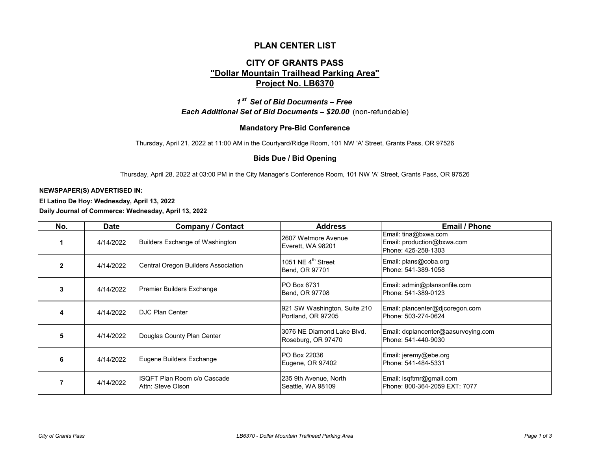## **PLAN CENTER LIST**

# **CITY OF GRANTS PASS "Dollar Mountain Trailhead Parking Area" Project No. LB6370**

*Each Additional Set of Bid Documents – \$20.00* (non-refundable) *1 st Set of Bid Documents – Free*

### **Mandatory Pre-Bid Conference**

Thursday, April 21, 2022 at 11:00 AM in the Courtyard/Ridge Room, 101 NW 'A' Street, Grants Pass, OR 97526

#### **Bids Due / Bid Opening**

Thursday, April 28, 2022 at 03:00 PM in the City Manager's Conference Room, 101 NW 'A' Street, Grants Pass, OR 97526

#### **NEWSPAPER(S) ADVERTISED IN:**

**El Latino De Hoy: Wednesday, April 13, 2022 Daily Journal of Commerce: Wednesday, April 13, 2022**

| No.          | <b>Date</b> | <b>Company / Contact</b>                           | <b>Address</b>                                     | <b>Email / Phone</b>                                                      |
|--------------|-------------|----------------------------------------------------|----------------------------------------------------|---------------------------------------------------------------------------|
|              | 4/14/2022   | Builders Exchange of Washington                    | 2607 Wetmore Avenue<br>Everett, WA 98201           | Email: tina@bxwa.com<br>Email: production@bxwa.com<br>Phone: 425-258-1303 |
| $\mathbf{2}$ | 4/14/2022   | Central Oregon Builders Association                | 1051 NE $4^{\text{th}}$ Street<br>Bend, OR 97701   | Email: plans@coba.org<br>Phone: 541-389-1058                              |
| 3            | 4/14/2022   | Premier Builders Exchange                          | <b>PO Box 6731</b><br>Bend, OR 97708               | Email: admin@plansonfile.com<br>Phone: 541-389-0123                       |
| 4            | 4/14/2022   | <b>IDJC Plan Center</b>                            | 921 SW Washington, Suite 210<br>Portland, OR 97205 | Email: plancenter@djcoregon.com<br>Phone: 503-274-0624                    |
| 5            | 4/14/2022   | Douglas County Plan Center                         | 3076 NE Diamond Lake Blvd.<br>Roseburg, OR 97470   | Email: dcplancenter@aasurveying.com<br>Phone: 541-440-9030                |
| 6            | 4/14/2022   | Eugene Builders Exchange                           | <b>PO Box 22036</b><br>Eugene, OR 97402            | Email: jeremy@ebe.org<br>Phone: 541-484-5331                              |
|              | 4/14/2022   | IISQFT Plan Room c/o Cascade<br>IAttn: Steve Olson | 235 9th Avenue, North<br>Seattle, WA 98109         | Email: isqftmr@gmail.com<br>Phone: 800-364-2059 EXT: 7077                 |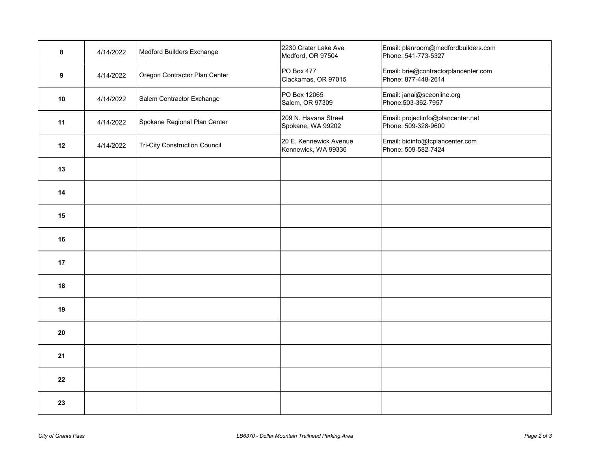| 8                | 4/14/2022 | Medford Builders Exchange            | 2230 Crater Lake Ave<br>Medford, OR 97504     | Email: planroom@medfordbuilders.com<br>Phone: 541-773-5327  |
|------------------|-----------|--------------------------------------|-----------------------------------------------|-------------------------------------------------------------|
| $\boldsymbol{9}$ | 4/14/2022 | Oregon Contractor Plan Center        | <b>PO Box 477</b><br>Clackamas, OR 97015      | Email: brie@contractorplancenter.com<br>Phone: 877-448-2614 |
| 10               | 4/14/2022 | Salem Contractor Exchange            | PO Box 12065<br>Salem, OR 97309               | Email: janai@sceonline.org<br>Phone: 503-362-7957           |
| 11               | 4/14/2022 | Spokane Regional Plan Center         | 209 N. Havana Street<br>Spokane, WA 99202     | Email: projectinfo@plancenter.net<br>Phone: 509-328-9600    |
| 12               | 4/14/2022 | <b>Tri-City Construction Council</b> | 20 E. Kennewick Avenue<br>Kennewick, WA 99336 | Email: bidinfo@tcplancenter.com<br>Phone: 509-582-7424      |
| 13               |           |                                      |                                               |                                                             |
| 14               |           |                                      |                                               |                                                             |
| 15               |           |                                      |                                               |                                                             |
| 16               |           |                                      |                                               |                                                             |
| 17               |           |                                      |                                               |                                                             |
| 18               |           |                                      |                                               |                                                             |
| 19               |           |                                      |                                               |                                                             |
| 20               |           |                                      |                                               |                                                             |
| 21               |           |                                      |                                               |                                                             |
| 22               |           |                                      |                                               |                                                             |
| 23               |           |                                      |                                               |                                                             |